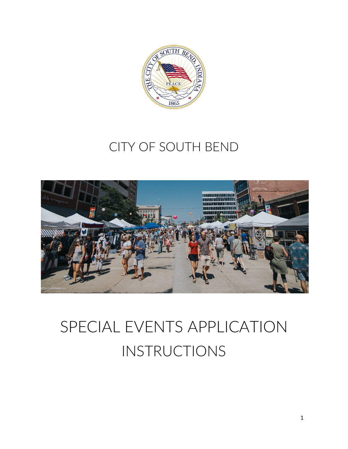

# CITY OF SOUTH BEND



# SPECIAL EVENTS APPLICATION INSTRUCTIONS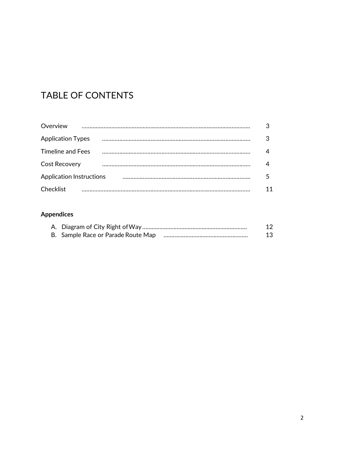## TABLE OF CONTENTS

| Overview                        |    |
|---------------------------------|----|
| <b>Application Types</b>        |    |
| <b>Timeline and Fees</b>        |    |
| <b>Cost Recovery</b>            |    |
| <b>Application Instructions</b> |    |
| Checklist                       | 11 |

## **Appendices**

|                                    | 12 |
|------------------------------------|----|
| B. Sample Race or Parade Route Map | 13 |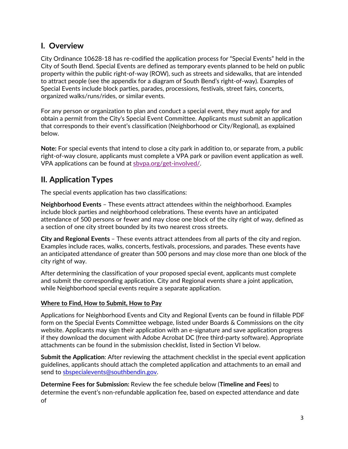## **I. Overview**

City Ordinance 10628-18 has re-codified the application process for "Special Events" held in the City of South Bend. Special Events are defined as temporary events planned to be held on public property within the public right-of-way (ROW), such as streets and sidewalks, that are intended to attract people (see the appendix for a diagram of South Bend's right-of-way). Examples of Special Events include block parties, parades, processions, festivals, street fairs, concerts, organized walks/runs/rides, or similar events.

For any person or organization to plan and conduct a special event, they must apply for and obtain a permit from the City's Special Event Committee. Applicants must submit an application that corresponds to their event's classification (Neighborhood or City/Regional), as explained below.

**Note:** For special events that intend to close a city park in addition to, or separate from, a public right-of-way closure, applicants must complete a VPA park or pavilion event application as well. VPA applications can be found at [sbvpa.org/get-involved/.](http://sbvpa.org/get-involved/)

## **II. Application Types**

The special events application has two classifications:

**Neighborhood Events** – These events attract attendees within the neighborhood. Examples include block parties and neighborhood celebrations. These events have an anticipated attendance of 500 persons or fewer and may close one block of the city right of way, defined as a section of one city street bounded by its two nearest cross streets.

**City and Regional Events** – These events attract attendees from all parts of the city and region. Examples include races, walks, concerts, festivals, processions, and parades. These events have an anticipated attendance of greater than 500 persons and may close more than one block of the city right of way.

After determining the classification of your proposed special event, applicants must complete and submit the corresponding application. City and Regional events share a joint application, while Neighborhood special events require a separate application.

#### **Where to Find, How to Submit, How to Pay**

Applications for Neighborhood Events and City and Regional Events can be found in fillable PDF form on the Special Events Committee webpage, listed under Boards & Commissions on the city website. Applicants may sign their application with an e-signature and save application progress if they download the document with Adobe Acrobat DC (free third-party software). Appropriate attachments can be found in the submission checklist, listed in Section VI below.

**Submit the Application**: After reviewing the attachment checklist in the special event application guidelines, applicants should attach the completed application and attachments to an email and send to [sbspecialevents@southbendin.gov.](mailto:sbspecialevents@southbendin.gov)

**Determine Fees for Submission:** Review the fee schedule below (**Timeline and Fees**) to determine the event's non-refundable application fee, based on expected attendance and date of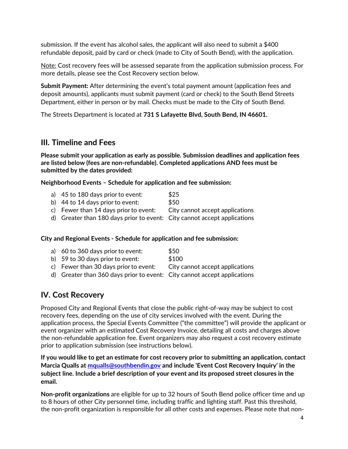submission. If the event has alcohol sales, the applicant will also need to submit a \$400 refundable deposit, paid by card or check (made to City of South Bend), with the application.

Note: Cost recovery fees will be assessed separate from the application submission process. For more details, please see the Cost Recovery section below.

**Submit Payment:** After determining the event's total payment amount (application fees and deposit amounts), applicants must submit payment (card or check) to the South Bend Streets Department, either in person or by mail. Checks must be made to the City of South Bend.

The Streets Department is located at **731 S Lafayette Blvd, South Bend, IN 46601.**

## **III. Timeline and Fees**

**Please submit your application as early as possible. Submission deadlines and application fees are listed below (fees are non-refundable). Completed applications AND fees must be submitted by the dates provided:**

**Neighborhood Events – Schedule for application and fee submission:**

- a) 45 to 180 days prior to event: \$25
- b)  $44$  to  $14$  days prior to event:  $$50$
- c) Fewer than 14 days priorto event: City cannot accept applications
- d) Greater than 180 days prior to event: City cannot accept applications

#### **City and Regional Events - Schedule for application and fee submission:**

| a) 60 to 360 days prior to event:                                        | \$50                            |
|--------------------------------------------------------------------------|---------------------------------|
| b) $59$ to 30 days prior to event:                                       | \$100                           |
| c) Fewer than 30 days prior to event:                                    | City cannot accept applications |
| d) Greater than 360 days prior to event: City cannot accept applications |                                 |
|                                                                          |                                 |

## **IV. Cost Recovery**

Proposed City and Regional Events that close the public right-of-way may be subject to cost recovery fees, depending on the use of city services involved with the event. During the application process, the Special Events Committee ("the committee") will provide the applicant or event organizer with an estimated Cost Recovery Invoice, detailing all costs and charges above the non-refundable application fee. Event organizers may also request a cost recovery estimate prior to application submission (see instructions below).

**If you would like to get an estimate for cost recovery prior to submitting an application, contact Marcia Qualls at [mqualls@southbendin.gov](mailto:mqualls@southbendin.gov) and include 'Event Cost Recovery Inquiry' in the subject line. Include a brief description of your event and its proposed street closures in the email.**

**Non-profit organizations** are eligible for up to 32 hours of South Bend police officer time and up to 8 hours of other City personnel time, including traffic and lighting staff. Past this threshold, the non-profit organization is responsible for all other costs and expenses. Please note that non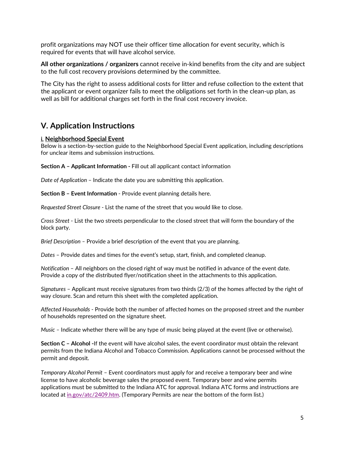profit organizations may NOT use their officer time allocation for event security, which is required for events that will have alcohol service.

**All other organizations / organizers** cannot receive in-kind benefits from the city and are subject to the full cost recovery provisions determined by the committee.

The City has the right to assess additional costs for litter and refuse collection to the extent that the applicant or event organizer fails to meet the obligations set forth in the clean-up plan, as well as bill for additional charges set forth in the final cost recovery invoice.

## **V. Application Instructions**

#### **i. Neighborhood Special Event**

Below is a section-by-section guide to the Neighborhood Special Event application, including descriptions for unclear items and submission instructions.

**Section A – Applicant Information -** Fill out all applicant contact information

*Date of Application* – Indicate the date you are submitting this application.

**Section B – Event Information** - Provide event planning details here.

*Requested Street Closure* - List the name of the street that you would like to close.

*Cross Street* - List the two streets perpendicular to the closed street that will form the boundary of the block party.

*Brief Description –* Provide a brief description of the event that you are planning.

*Dates* – Provide dates and times for the event's setup, start, finish, and completed cleanup.

*Notification* – All neighbors on the closed right of way must be notified in advance of the event date. Provide a copy of the distributed flyer/notification sheet in the attachments to this application.

*Signatures* – Applicant must receive signatures from two thirds (2/3) of the homes affected by the right of way closure. Scan and return this sheet with the completed application.

*Affected Households* - Provide both the number of affected homes on the proposed street and the number of households represented on the signature sheet.

*Music –* Indicate whether there will be any type of music being played at the event (live or otherwise).

**Section C – Alcohol -**If the event will have alcohol sales, the event coordinator must obtain the relevant permits from the Indiana Alcohol and Tobacco Commission. Applications cannot be processed without the permit and deposit.

*Temporary Alcohol Permit* – Event coordinators must apply for and receive a temporary beer and wine license to have alcoholic beverage sales the proposed event. Temporary beer and wine permits applications must be submitted to the Indiana ATC for approval. Indiana ATC forms and instructions are located at [in.gov/atc/2409.htm. \(](http://in.gov/atc/2409.htm)Temporary Permits are near the bottom of the form list.)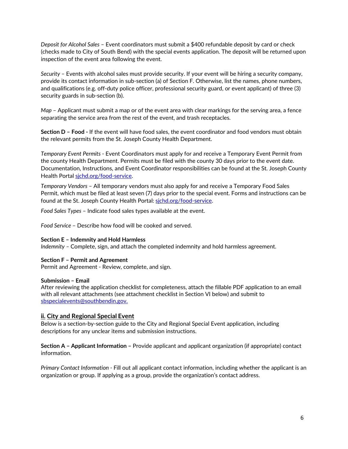*Deposit for Alcohol Sales* – Event coordinators must submit a \$400 refundable deposit by card or check (checks made to City of South Bend) with the special events application. The deposit will be returned upon inspection of the event area following the event.

*Security* – Events with alcohol sales must provide security. If your event will be hiring a security company, provide its contact information in sub-section (a) of Section F. Otherwise, list the names, phone numbers, and qualifications (e.g. off-duty police officer, professional security guard, or event applicant) of three (3) security guards in sub-section (b).

*Map* – Applicant must submit a map or of the event area with clear markings for the serving area, a fence separating the service area from the rest of the event, and trash receptacles.

**Section D – Food -** If the event will have food sales, the event coordinator and food vendors must obtain the relevant permits from the St. Joseph County Health Department.

*Temporary Event Permits* - Event Coordinators must apply for and receive a Temporary Event Permit from the county Health Department. Permits must be filed with the county 30 days prior to the event date. Documentation, Instructions, and Event Coordinator responsibilities can be found at the St. Joseph County Health Portal sichd.org/food-service.

*Temporary Vendors* – All temporary vendors must also apply for and receive a Temporary Food Sales Permit, which must be filed at least seven (7) days prior to the special event. Forms and instructions can be found at the St. Joseph County Health Portal: [sjchd.org/food-service.](http://sjchd.org/food-service)

*Food Sales Types* – Indicate food sales types available at the event.

*Food Service* – Describe how food will be cooked and served.

#### **Section E – Indemnity and Hold Harmless**

*Indemnity –* Complete, sign, and attach the completed indemnity and hold harmless agreement.

#### **Section F – Permit and Agreement**

Permit and Agreement - Review, complete, and sign.

#### **Submission – Email**

After reviewing the application checklist for completeness, attach the fillable PDF application to an email with all relevant attachments (see attachment checklist in Section VI below) and submit to [sbspecialevents@southbendin.gov.](mailto:sbspecialevents@southbendin.gov)

#### **ii. City and Regional Special Event**

Below is a section-by-section guide to the City and Regional Special Event application, including descriptions for any unclear items and submission instructions.

**Section A – Applicant Information –** Provide applicant and applicant organization (if appropriate) contact information.

*Primary Contact Information -* Fill out all applicant contact information, including whether the applicant is an organization or group. If applying as a group, provide the organization's contact address.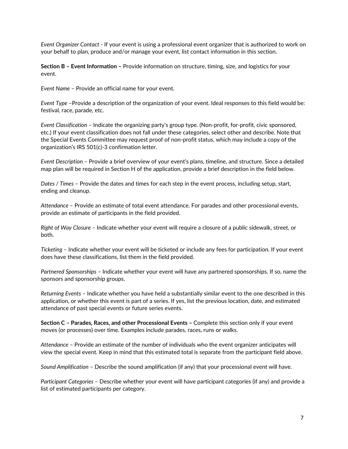*Event Organizer Contact* - If your event is using a professional event organizer that is authorized to work on your behalf to plan, produce and/or manage your event, list contact information in this section.

**Section B – Event Information –** Provide information on structure, timing, size, and logistics for your event.

*Event Name* – Provide an official name for your event.

*Event Type* –Provide a description of the organization of your event. Ideal responses to this field would be: festival, race, parade, etc.

*Event Classification* – Indicate the organizing party's group type. (Non-profit, for-profit, civic sponsored, etc.) If your event classification does not fall under these categories, select other and describe. Note that the Special Events Committee may request proof of non-profit status, which may include a copy of the organization's IRS 501(c)-3 confirmation letter.

*Event Description* – Provide a brief overview of your event's plans, timeline, and structure. Since a detailed map plan will be required in Section H of the application, provide a brief description in the field below.

*Dates / Times* – Provide the dates and times for each step in the event process, including setup, start, ending and cleanup.

*Attendance* – Provide an estimate of total event attendance. For parades and other processional events, provide an estimate of participants in the field provided.

*Right of Way Closure –* Indicate whether your event will require a closure of a public sidewalk, street, or both.

*Ticketing* – Indicate whether your event will be ticketed or include any fees for participation. If your event does have these classifications, list them in the field provided.

*Partnered Sponsorships* – Indicate whether your event will have any partnered sponsorships. If so, name the sponsors and sponsorship groups.

*Returning Events* – Indicate whether you have held a substantially similar event to the one described in this application, or whether this event is part of a series. If yes, list the previous location, date, and estimated attendance of past special events or future series events.

**Section C – Parades, Races, and other Processional Events –** Complete this section only if your event moves (or processes) over time. Examples include parades, races, runs or walks.

*Attendance* – Provide an estimate of the number of individuals who the event organizer anticipates will view the special event. Keep in mind that this estimated total is separate from the participant field above.

*Sound Amplification* – Describe the sound amplification (if any) that your processional event will have.

*Participant Categories* – Describe whether your event will have participant categories (if any) and provide a list of estimated participants per category.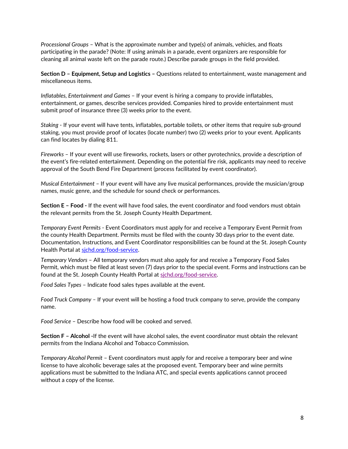*Processional Groups* – What is the approximate number and type(s) of animals, vehicles, and floats participating in the parade? (Note: If using animals in a parade, event organizers are responsible for cleaning all animal waste left on the parade route.) Describe parade groups in the field provided.

**Section D – Equipment, Setup and Logistics –** Questions related to entertainment, waste management and miscellaneous items.

*Inflatables, Entertainment and Games* – If your event is hiring a company to provide inflatables, entertainment, or games, describe services provided. Companies hired to provide entertainment must submit proof of insurance three (3) weeks prior to the event.

*Staking* - If your event will have tents, inflatables, portable toilets, or other items that require sub-ground staking, you must provide proof of locates (locate number) two (2) weeks prior to your event. Applicants can find locates by dialing 811.

*Fireworks* – If your event will use fireworks, rockets, lasers or other pyrotechnics, provide a description of the event's fire-related entertainment. Depending on the potential fire risk, applicants may need to receive approval of the South Bend Fire Department (process facilitated by event coordinator).

*Musical Entertainment* – If your event will have any live musical performances, provide the musician/group names, music genre, and the schedule for sound check or performances.

**Section E – Food -** If the event will have food sales, the event coordinator and food vendors must obtain the relevant permits from the St. Joseph County Health Department.

*Temporary Event Permits* - Event Coordinators must apply for and receive a Temporary Event Permit from the county Health Department. Permits must be filed with the county 30 days prior to the event date. Documentation, Instructions, and Event Coordinator responsibilities can be found at the St. Joseph County Health Portal at sichd.org/food-service.

*Temporary Vendors* – All temporary vendors must also apply for and receive a Temporary Food Sales Permit, which must be filed at least seven (7) days prior to the special event. Forms and instructions can be found at the St. Joseph County Health Portal at [sjchd.org/food-service.](http://sjchd.org/food-service)

*Food Sales Types* – Indicate food sales types available at the event.

*Food Truck Company –* If your event will be hosting a food truck company to serve, provide the company name.

*Food Service* – Describe how food will be cooked and served.

**Section F – Alcohol -**If the event will have alcohol sales, the event coordinator must obtain the relevant permits from the Indiana Alcohol and Tobacco Commission.

*Temporary Alcohol Permit* – Event coordinators must apply for and receive a temporary beer and wine license to have alcoholic beverage sales at the proposed event. Temporary beer and wine permits applications must be submitted to the Indiana ATC, and special events applications cannot proceed without a copy of the license.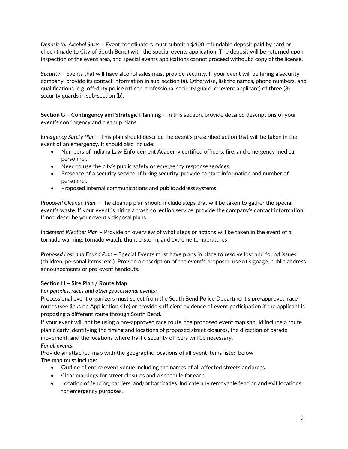*Deposit for Alcohol Sales* – Event coordinators must submit a \$400 refundable deposit paid by card or check (made to City of South Bend) with the special events application. The deposit will be returned upon inspection of the event area, and special events applications cannot proceed without a copy of the license.

*Security* – Events that will have alcohol sales must provide security. If your event will be hiring a security company, provide its contact information in sub-section (a). Otherwise, list the names, phone numbers, and qualifications (e.g. off-duty police officer, professional security guard, or event applicant) of three (3) security guards in sub-section (b).

**Section G – Contingency and Strategic Planning –** In this section, provide detailed descriptions of your event's contingency and cleanup plans.

*Emergency Safety Plan* – This plan should describe the event's prescribed action that will be taken in the event of an emergency. It should also include:

- Numbers of Indiana Law Enforcement Academy certified officers, fire, and emergency medical personnel.
- Need to use the city's public safety or emergency response services.
- Presence of a security service. If hiring security, provide contact information and number of personnel.
- Proposed internal communications and public address systems.

*Proposed Cleanup Plan* – The cleanup plan should include steps that will be taken to gather the special event's waste. If your event is hiring a trash collection service, provide the company's contact information. If not, describe your event's disposal plans.

*Inclement Weather Plan* – Provide an overview of what steps or actions will be taken in the event of a tornado warning, tornado watch, thunderstorm, and extreme temperatures

*Proposed Lost and Found Plan* – Special Events must have plans in place to resolve lost and found issues (children, personal items, etc.). Provide a description of the event's proposed use of signage, public address announcements or pre-event handouts.

#### **Section H – Site Plan / Route Map**

*For parades, races and other processional events:*

Processional event organizers must select from the South Bend Police Department's pre-approved race routes (see links on Application site) or provide sufficient evidence of event participation if the applicant is proposing a different route through South Bend.

If your event will not be using a pre-approved race route, the proposed event map should include a route plan clearly identifying the timing and locations of proposed street closures, the direction of parade movement, and the locations where traffic security officers will be necessary.

#### *For all events:*

Provide an attached map with the geographic locations of all event items listed below. The map must include:

- Outline of entire event venue including the names of all affected streets andareas.
- Clear markings for street closures and a schedule for each.
- Location of fencing, barriers, and/or barricades. Indicate any removable fencing and exit locations for emergency purposes.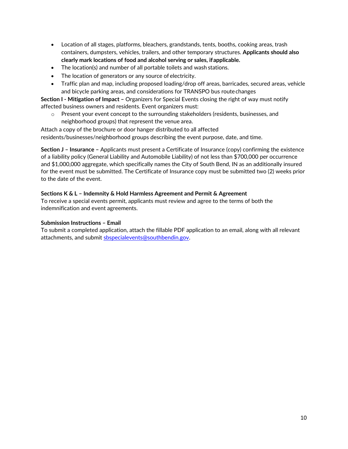- Location of all stages, platforms, bleachers, grandstands, tents, booths, cooking areas, trash containers, dumpsters, vehicles, trailers, and other temporary structures. **Applicants should also clearly mark locations of food and alcohol serving or sales, ifapplicable.**
- The location(s) and number of all portable toilets and wash stations.
- The location of generators or any source of electricity.
- Traffic plan and map, including proposed loading/drop off areas, barricades, secured areas, vehicle and bicycle parking areas, and considerations for TRANSPO bus routechanges

**Section I - Mitigation of Impact –** Organizers for Special Events closing the right of way must notify affected business owners and residents. Event organizers must:

 $\circ$  Present your event concept to the surrounding stakeholders (residents, businesses, and neighborhood groups) that represent the venue area.

Attach a copy of the brochure or door hanger distributed to all affected residents/businesses/neighborhood groups describing the event purpose, date, and time.

**Section J – Insurance –** Applicants must present a Certificate of Insurance (copy) confirming the existence of a liability policy (General Liability and Automobile Liability) of not less than \$700,000 per occurrence and \$1,000,000 aggregate, which specifically names the City of South Bend, IN as an additionally insured for the event must be submitted. The Certificate of Insurance copy must be submitted two (2) weeks prior to the date of the event.

#### **Sections K & L – Indemnity & Hold Harmless Agreement and Permit & Agreement**

To receive a special events permit, applicants must review and agree to the terms of both the indemnification and event agreements.

#### **Submission Instructions – Email**

To submit a completed application, attach the fillable PDF application to an email, along with all relevant attachments, and submit [sbspecialevents@southbendin.gov.](mailto:sbspecialevents@southbendin.gov)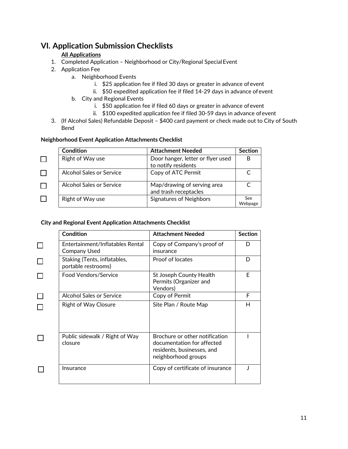## **VI. Application Submission Checklists**

#### **All Applications**

- 1. Completed Application Neighborhood or City/Regional Special Event
- 2. Application Fee
	- a. Neighborhood Events
		- i. \$25 application fee if filed 30 days or greater in advance ofevent
		- ii. \$50 expedited application fee if filed 14-29 days in advance ofevent
	- b. City and Regional Events
		- i. \$50 application fee if filed 60 days or greater in advance ofevent
		- ii. \$100 expedited application fee if filed 30-59 days in advance ofevent
- 3. (If Alcohol Sales) Refundable Deposit \$400 card payment or check made out to City of South Bend

#### **Neighborhood Event Application Attachments Checklist**

| Condition                       | <b>Attachment Needed</b>                                 | <b>Section</b> |
|---------------------------------|----------------------------------------------------------|----------------|
| Right of Way use                | Door hanger, letter or flyer used<br>to notify residents |                |
| Alcohol Sales or Service        | Copy of ATC Permit                                       |                |
| <b>Alcohol Sales or Service</b> | Map/drawing of serving area<br>and trash receptacles     |                |
| Right of Way use                | Signatures of Neighbors                                  | See<br>Webpage |

#### **City and Regional Event Application Attachments Checklist**

| <b>Condition</b>                                        | <b>Attachment Needed</b>                                                                                          | <b>Section</b> |
|---------------------------------------------------------|-------------------------------------------------------------------------------------------------------------------|----------------|
| Entertainment/Inflatables Rental<br><b>Company Used</b> | Copy of Company's proof of<br>insurance                                                                           | D              |
| Staking (Tents, inflatables,<br>portable restrooms)     | Proof of locates                                                                                                  | D              |
| Food Vendors/Service                                    | St Joseph County Health<br>Permits (Organizer and<br>Vendors)                                                     | E              |
| Alcohol Sales or Service                                | Copy of Permit                                                                                                    | F              |
| <b>Right of Way Closure</b>                             | Site Plan / Route Map                                                                                             | Н              |
| Public sidewalk / Right of Way<br>closure               | Brochure or other notification<br>documentation for affected<br>residents, businesses, and<br>neighborhood groups |                |
| Insurance                                               | Copy of certificate of insurance                                                                                  |                |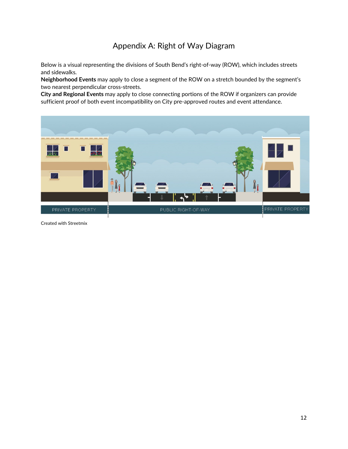## Appendix A: Right of Way Diagram

Below is a visual representing the divisions of South Bend's right-of-way (ROW), which includes streets and sidewalks.

**Neighborhood Events** may apply to close a segment of the ROW on a stretch bounded by the segment's two nearest perpendicular cross-streets.

**City and Regional Events** may apply to close connecting portions of the ROW if organizers can provide sufficient proof of both event incompatibility on City pre-approved routes and event attendance.



Created with Streetmix